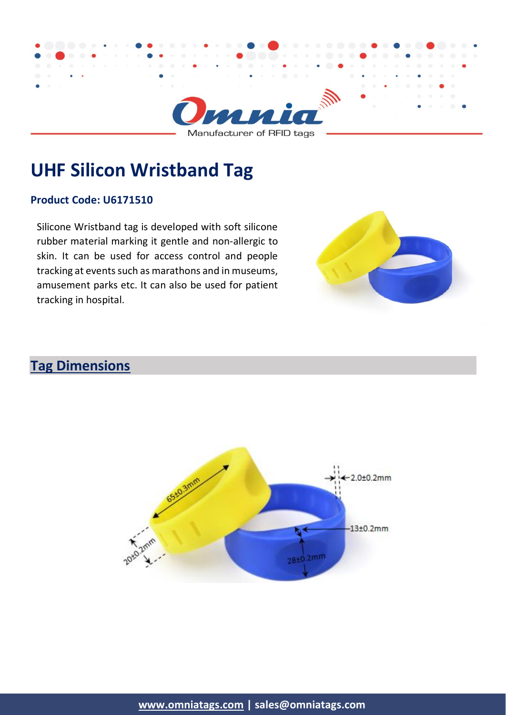

# **UHF Silicon Wristband Tag**

#### **Product Code: U6171510**

Silicone Wristband tag is developed with soft silicone rubber material marking it gentle and non-allergic to skin. It can be used for access control and people tracking at events such as marathons and in museums, amusement parks etc. It can also be used for patient tracking in hospital.



### **Tag Dimensions**

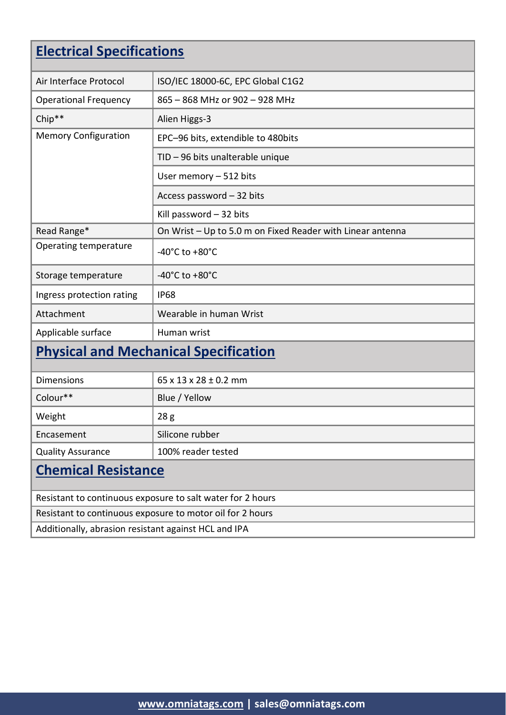## **Electrical Specifications**

| Air Interface Protocol                                     | ISO/IEC 18000-6C, EPC Global C1G2                          |  |
|------------------------------------------------------------|------------------------------------------------------------|--|
| <b>Operational Frequency</b>                               | 865 - 868 MHz or 902 - 928 MHz                             |  |
| Chip**                                                     | Alien Higgs-3                                              |  |
| <b>Memory Configuration</b>                                | EPC-96 bits, extendible to 480bits                         |  |
|                                                            | TID - 96 bits unalterable unique                           |  |
|                                                            | User memory - 512 bits                                     |  |
|                                                            | Access password - 32 bits                                  |  |
|                                                            | Kill password $-32$ bits                                   |  |
| Read Range*                                                | On Wrist - Up to 5.0 m on Fixed Reader with Linear antenna |  |
| Operating temperature                                      | -40 $^{\circ}$ C to +80 $^{\circ}$ C                       |  |
| Storage temperature                                        | -40 $^{\circ}$ C to +80 $^{\circ}$ C                       |  |
| Ingress protection rating                                  | <b>IP68</b>                                                |  |
| Attachment                                                 | Wearable in human Wrist                                    |  |
| Applicable surface                                         | Human wrist                                                |  |
| <b>Physical and Mechanical Specification</b>               |                                                            |  |
| <b>Dimensions</b>                                          | $65 \times 13 \times 28 \pm 0.2$ mm                        |  |
| Colour**                                                   | Blue / Yellow                                              |  |
| Weight                                                     | 28 <sub>g</sub>                                            |  |
| Encasement                                                 | Silicone rubber                                            |  |
| <b>Quality Assurance</b>                                   | 100% reader tested                                         |  |
| <b>Chemical Resistance</b>                                 |                                                            |  |
| Resistant to continuous exposure to salt water for 2 hours |                                                            |  |
| Resistant to continuous exposure to motor oil for 2 hours  |                                                            |  |

Additionally, abrasion resistant against HCL and IPA